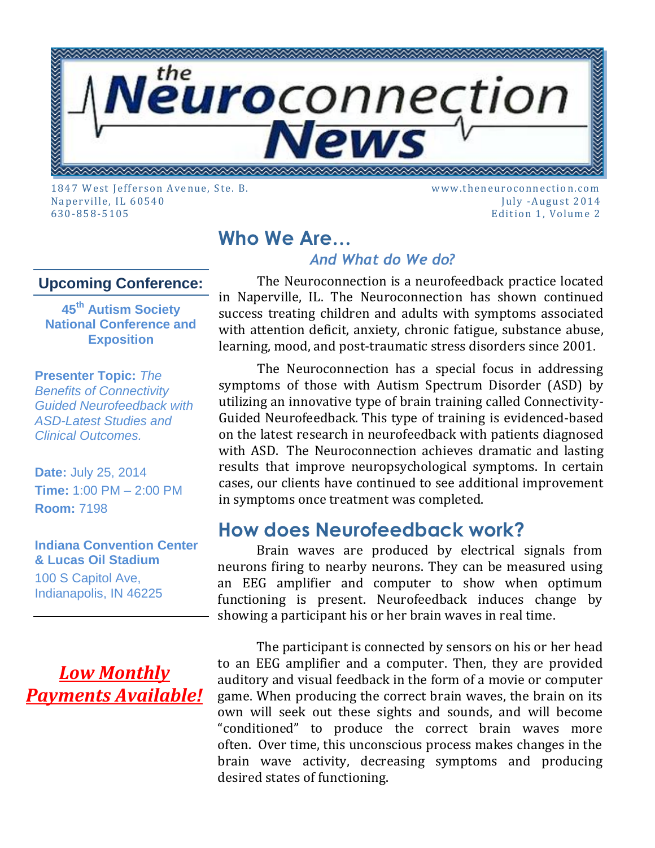

1847 West Jeffers on A venu e, Ste. B. www.th eneu roc onnection.com Naperville, IL 60540 July -August 2014 630-858-5105 Edition 1, Volu me 2

## **Who We Are…**

### *And What do We do?*

#### **Upcoming Conference:**

**45th Autism Society National Conference and Exposition**

**Presenter Topic:** *[The](https://asa.confex.com/asa/2014/webprogram/Session7198.html)  [Benefits of Connectivity](https://asa.confex.com/asa/2014/webprogram/Session7198.html)  [Guided Neurofeedback with](https://asa.confex.com/asa/2014/webprogram/Session7198.html)  [ASD-Latest Studies and](https://asa.confex.com/asa/2014/webprogram/Session7198.html)  [Clinical Outcomes.](https://asa.confex.com/asa/2014/webprogram/Session7198.html)*

**Date:** July 25, 2014 **Time:** 1:00 PM – 2:00 PM **Room:** 7198

#### **Indiana Convention Center & Lucas Oil Stadium**

100 S Capitol Ave, Indianapolis, IN 46225

## *Low Monthly Payments Available!*

The Neuroconnection is a neurofeedback practice located in Naperville, IL. The Neuroconnection has shown continued success treating children and adults with symptoms associated with attention deficit, anxiety, chronic fatigue, substance abuse, learning, mood, and post-traumatic stress disorders since 2001.

The Neuroconnection has a special focus in addressing symptoms of those with Autism Spectrum Disorder (ASD) by utilizing an innovative type of brain training called Connectivity-Guided Neurofeedback. This type of training is evidenced-based on the latest research in neurofeedback with patients diagnosed with ASD. The Neuroconnection achieves dramatic and lasting results that improve neuropsychological symptoms. In certain cases, our clients have continued to see additional improvement in symptoms once treatment was completed.

### **How does Neurofeedback work?**

Brain waves are produced by electrical signals from neurons firing to nearby neurons. They can be measured using an EEG amplifier and computer to show when optimum functioning is present. Neurofeedback induces change by showing a participant his or her brain waves in real time.

The participant is connected by sensors on his or her head to an EEG amplifier and a computer. Then, they are provided auditory and visual feedback in the form of a movie or computer game. When producing the correct brain waves, the brain on its own will seek out these sights and sounds, and will become "conditioned" to produce the correct brain waves more often. Over time, this unconscious process makes changes in the brain wave activity, decreasing symptoms and producing desired states of functioning.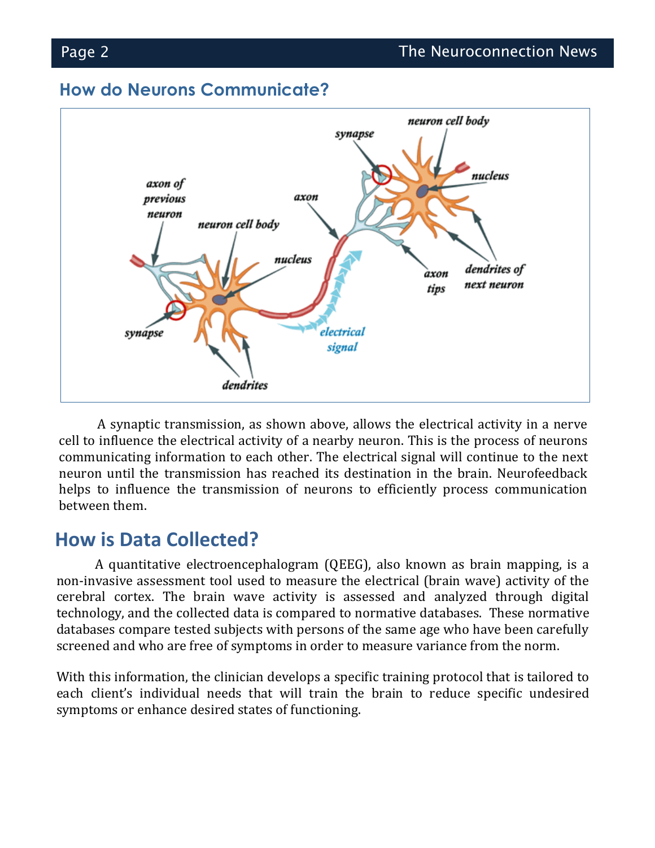#### **How do Neurons Communicate?**



A synaptic transmission, as shown above, allows the electrical activity in a nerve cell to influence the electrical activity of a nearby neuron. This is the process of neurons communicating information to each other. The electrical signal will continue to the next neuron until the transmission has reached its destination in the brain. Neurofeedback helps to influence the transmission of neurons to efficiently process communication between them.

### **How is Data Collected?**

A quantitative electroencephalogram (QEEG), also known as brain mapping, is a non-invasive assessment tool used to measure the electrical (brain wave) activity of the cerebral cortex. The brain wave activity is assessed and analyzed through digital technology, and the collected data is compared to normative databases. These normative databases compare tested subjects with persons of the same age who have been carefully screened and who are free of symptoms in order to measure variance from the norm.

With this information, the clinician develops a specific training protocol that is tailored to each client's individual needs that will train the brain to reduce specific undesired symptoms or enhance desired states of functioning.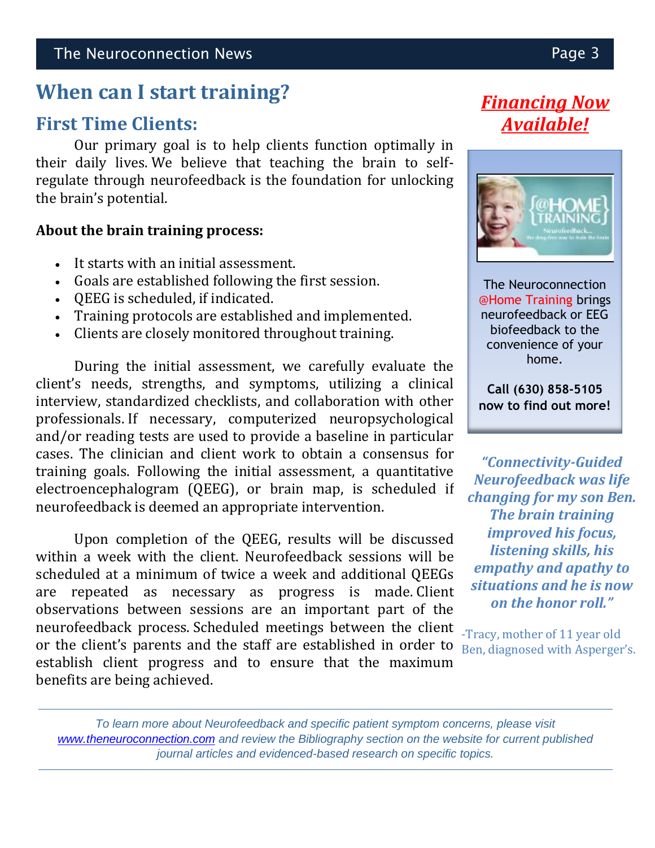# **When can I start training?**

## **First Time Clients:**

Our primary goal is to help clients function optimally in their daily lives. We believe that teaching the brain to selfregulate through neurofeedback is the foundation for unlocking the brain's potential.

#### **About the brain training process:**

- It starts with an initial assessment.
- Goals are established following the first session.
- QEEG is scheduled, if indicated.
- Training protocols are established and implemented.
- Clients are closely monitored throughout training.

During the initial assessment, we carefully evaluate the client's needs, strengths, and symptoms, utilizing a clinical interview, standardized checklists, and collaboration with other professionals. If necessary, computerized neuropsychological and/or reading tests are used to provide a baseline in particular cases. The clinician and client work to obtain a consensus for training goals. Following the initial assessment, a quantitative electroencephalogram (QEEG), or brain map, is scheduled if neurofeedback is deemed an appropriate intervention.

Upon completion of the QEEG, results will be discussed within a week with the client. Neurofeedback sessions will be scheduled at a minimum of twice a week and additional QEEGs are repeated as necessary as progress is made. Client observations between sessions are an important part of the neurofeedback process. Scheduled meetings between the client or the client's parents and the staff are established in order to establish client progress and to ensure that the maximum benefits are being achieved.

# *Financing Now Available!*



The Neuroconnection @Home Training brings neurofeedback or EEG biofeedback to the convenience of your home.

**Call (630) 858-5105 now to find out more!**

*"Connectivity-Guided Neurofeedback was life changing for my son Ben. The brain training improved his focus, listening skills, his empathy and apathy to situations and he is now on the honor roll."*

-Tracy, mother of 11 year old Ben, diagnosed with Asperger's.

*To learn more about Neurofeedback and specific patient symptom concerns, please visit [www.theneuroconnection.com](http://www.theneuroconnection.com/) and review the Bibliography section on the website for current published journal articles and evidenced-based research on specific topics.*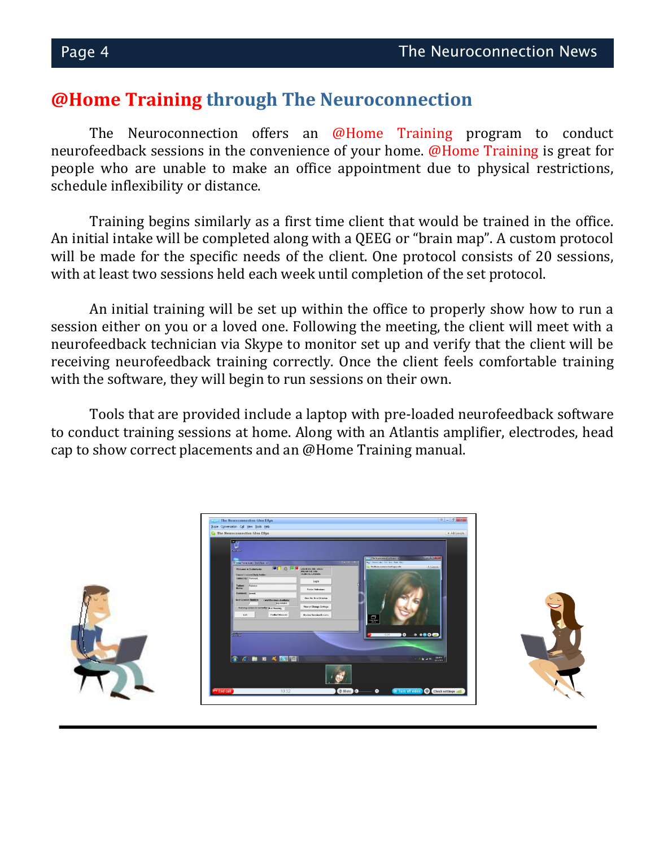### **@Home Training through The Neuroconnection**

The Neuroconnection offers an @Home Training program to conduct neurofeedback sessions in the convenience of your home. @Home Training is great for people who are unable to make an office appointment due to physical restrictions, schedule inflexibility or distance.

Training begins similarly as a first time client that would be trained in the office. An initial intake will be completed along with a QEEG or "brain map". A custom protocol will be made for the specific needs of the client. One protocol consists of 20 sessions, with at least two sessions held each week until completion of the set protocol.

An initial training will be set up within the office to properly show how to run a session either on you or a loved one. Following the meeting, the client will meet with a neurofeedback technician via Skype to monitor set up and verify that the client will be receiving neurofeedback training correctly. Once the client feels comfortable training with the software, they will begin to run sessions on their own.

Tools that are provided include a laptop with pre-loaded neurofeedback software to conduct training sessions at home. Along with an Atlantis amplifier, electrodes, head cap to show correct placements and an @Home Training manual.